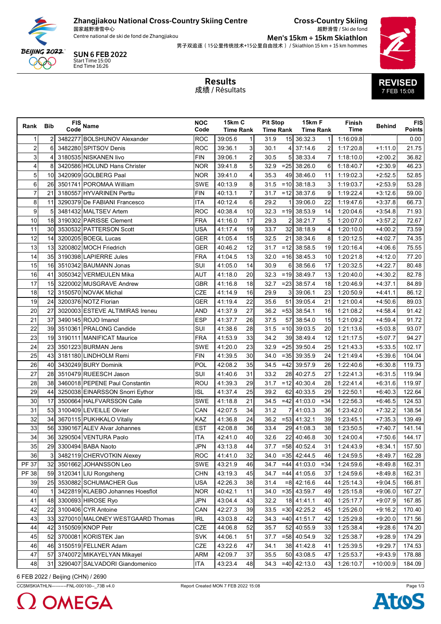

## Zhangjiakou National Cross-Country Skiing Centre

国家越野滑雪中心 Centre national de ski de fond de Zhangjiakou **Cross-Country Skiing** 越野滑雪 / Ski de fond

Men's 15km + 15km Skiathlon 男子双追逐 (15公里传统技术+15公里自由技术) / Skiathlon 15 km + 15 km hommes



**SUN 6 FEB 2022**<br>Start Time 15:00<br>End Time 16:26

**Results** 成绩 / Résultats

| Rank Bib                |                 | FIS Name                         | <b>NOC</b><br>Code | 15km C<br><b>Time Rank</b> |                | <b>Pit Stop</b><br><b>Time Rank</b> |        | 15km F<br><b>Time Rank</b> |              | Finish<br>Time | <b>Behind</b> | <b>FIS</b><br><b>Points</b> |
|-------------------------|-----------------|----------------------------------|--------------------|----------------------------|----------------|-------------------------------------|--------|----------------------------|--------------|----------------|---------------|-----------------------------|
| 1                       | $\overline{2}$  | 3482277 BOLSHUNOV Alexander      | <b>ROC</b>         | 39:05.6                    | 1              | 31.9                                |        | 15 36:32.3                 | $\mathbf{1}$ | 1:16:09.8      |               | 0.00                        |
| $\overline{\mathbf{c}}$ | 6               | 3482280 SPITSOV Denis            | <b>ROC</b>         | 39:36.1                    | 3              | 30.1                                | 4      | 37:14.6                    |              | 1:17:20.8      | $+1:11.0$     | 21.75                       |
| 3                       | 4               | 3180535 NISKANEN livo            | <b>FIN</b>         | 39:06.1                    | $\overline{c}$ | 30.5                                | 5      | 38:33.4                    | 7            | 1:18:10.0      | $+2:00.2$     | 36.82                       |
| 4                       | 8               | 3420586 HOLUND Hans Christer     | <b>NOR</b>         | 39:41.8                    | 5              | 32.9                                | $=25$  | 38:26.0                    | 6            | 1:18:40.7      | $+2:30.9$     | 46.23                       |
| 5                       | 10              | 3420909 GOLBERG Paal             | <b>NOR</b>         | 39:41.0                    | 4              | 35.3                                |        | 49 38:46.0                 | 11           | 1:19:02.3      | $+2.52.5$     | 52.85                       |
| 6                       | 26              | 3501741 POROMAA William          | <b>SWE</b>         | 40:13.9                    | 8              | 31.5                                |        | $= 10$ 38:18.3             | 3            | 1:19:03.7      | $+2:53.9$     | 53.28                       |
| 7                       | 21              | 3180557 HYVARINEN Perttu         | <b>FIN</b>         | 40:13.1                    | 7              | 31.7                                | $=12$  | 38:37.6                    | 9            | 1:19:22.4      | $+3:12.6$     | 59.00                       |
| 8                       | 11              | 3290379 De FABIANI Francesco     | <b>ITA</b>         | 40:12.4                    | 6              | 29.2                                |        | 39:06.0                    | 22           | 1:19:47.6      | $+3.37.8$     | 66.73                       |
| 9                       | 5               | 3481432 MALTSEV Artem            | <b>ROC</b>         | 40:38.4                    | 10             | 32.3                                | $=19$  | 38:53.9                    | 14           | 1:20:04.6      | $+3.54.8$     | 71.93                       |
| 10                      | 18              | 3190302 PARISSE Clement          | <b>FRA</b>         | 41:16.0                    | 17             | 29.3                                | 2      | 38:21.7                    | 5            | 1:20:07.0      | $+3.57.2$     | 72.67                       |
| 11                      | <b>30</b>       | 3530532 PATTERSON Scott          | <b>USA</b>         | 41:17.4                    | 19             | 33.7                                | 32     | 38:18.9                    | 4            | 1:20:10.0      | $+4:00.2$     | 73.59                       |
| 12                      | 14              | 3200205 BOEGL Lucas              | <b>GER</b>         | 41:05.4                    | 15             | 32.5                                | 21     | 38:34.6                    | 8            | 1:20:12.5      | $+4.02.7$     | 74.35                       |
| 13                      | 13 <sup>1</sup> | 3200802 MOCH Friedrich           | <b>GER</b>         | 40:46.2                    | 12             | 31.7                                | $=12$  | 38:58.5                    | 19           | 1:20:16.4      | $+4:06.6$     | 75.55                       |
| 14                      | 35              | 3190398 LAPIERRE Jules           | <b>FRA</b>         | 41:04.5                    | 13             | 32.0                                | $=16$  | 38:45.3                    | 10           | 1:20:21.8      | $+4.12.0$     | 77.20                       |
| 15                      | 16              | 3510342 BAUMANN Jonas            | SUI                | 41:05.0                    | 14             | 30.9                                | 6      | 38:56.6                    | 17           | 1:20:32.5      | $+4.22.7$     | 80.48                       |
| 16                      | 41              | 3050342 VERMEULEN Mika           | <b>AUT</b>         | 41:18.0                    | 20             | 32.3                                | $=19$  | 38:49.7                    | 13           | 1:20:40.0      | $+4:30.2$     | 82.78                       |
| 17                      | 15              | 3220002 MUSGRAVE Andrew          | <b>GBR</b>         | 41:16.8                    | 18             | 32.7                                | $= 23$ | 38:57.4                    | 18           | 1:20:46.9      | $+4:37.1$     | 84.89                       |
| 18                      | 12              | 3150570 NOVAK Michal             | <b>CZE</b>         | 41:14.9                    | 16             | 29.9                                | 3      | 39:06.1                    | 23           | 1:20:50.9      | $+4.41.1$     | 86.12                       |
| 19                      | 24              | 3200376 NOTZ Florian             | <b>GER</b>         | 41:19.4                    | 22             | 35.6                                | 51     | 39:05.4                    | 21           | 1:21:00.4      | $+4.50.6$     | 89.03                       |
| 20                      | 27              | 3020003 ESTEVE ALTIMIRAS Ireneu  | <b>AND</b>         | 41:37.9                    | 27             | 36.2                                |        | $= 53$ 38:54.1             | 16           | 1:21:08.2      | $+4.58.4$     | 91.42                       |
| 21                      | 37              | 3490145 ROJO Imanol              | <b>ESP</b>         | 41:37.7                    | 26             | 37.5                                | 57     | 38:54.0                    | 15           | 1:21:09.2      | $+4.59.4$     | 91.72                       |
| 22                      | 39              | 3510361 PRALONG Candide          | SUI                | 41:38.6                    | 28             | 31.5                                | $=10$  | 39:03.5                    | 20           | 1:21:13.6      | $+5.03.8$     | 93.07                       |
| 23                      | 19              | 3190111 MANIFICAT Maurice        | <b>FRA</b>         | 41:53.9                    | 33             | 34.2                                |        | 39 38:49.4                 | 12           | 1:21:17.5      | $+5:07.7$     | 94.27                       |
| 24                      | 23              | 3501223 BURMAN Jens              | SWE                | 41:20.0                    | 23             | 32.9                                | $=25$  | 39:50.4                    | 25           | 1:21:43.3      | $+5.33.5$     | 102.17                      |
| 25                      | 43              | 3181180 LINDHOLM Remi            | <b>FIN</b>         | 41:39.5                    | 30             | 34.0                                |        | $=35$ 39:35.9              | 24           | 1:21:49.4      | $+5.39.6$     | 104.04                      |
| 26                      | 40              | 3430249 BURY Dominik             | POL                | 42:08.2                    | 35             | 34.5                                | $=42$  | 39:57.9                    | 26           | 1:22:40.6      | $+6.30.8$     | 119.73                      |
| 27                      | 28              | 3510479 RUEESCH Jason            | SUI                | 41:40.6                    | 31             | 33.2                                | 28     | 40:27.5                    | 27           | 1:22:41.3      | $+6.31.5$     | 119.94                      |
| 28                      | 38              | 3460018 PEPENE Paul Constantin   | ROU                | 41:39.3                    | 29             | 31.7                                | $=12$  | 40:30.4                    | 28           | 1:22:41.4      | $+6:31.6$     | 119.97                      |
| 29                      | 44              | 3250038 EINARSSON Snorri Eythor  | <b>ISL</b>         | 41:37.4                    | 25             | 39.2                                | 62     | 40:33.5                    | 29           | 1:22:50.1      | $+6.40.3$     | 122.64                      |
| 30                      | 17              | 3500664 HALFVARSSON Calle        | SWE                | 41:18.8                    | 21             | 34.5                                | $=42$  | 41:03.0                    | $= 34$       | 1:22:56.3      | $+6:46.5$     | 124.53                      |
| 31                      | 53              | 3100409 LEVEILLE Olivier         | CAN                | 42:07.5                    | 34             | 31.2                                |        | 41:03.3                    | 36           | 1:23:42.0      | $+7:32.2$     | 138.54                      |
| 32                      | 34              | 3670115 PUKHKALO Vitaliy         | KAZ                | 41:36.8                    | 24             | 36.2                                |        | $= 53$ 41:32.1             | 39           | 1:23:45.1      | $+7:35.3$     | 139.49                      |
| 33                      | 56              | 3390167 ALEV Alvar Johannes      | EST                | 42:08.8                    | 36             | 33.4                                |        | 29 41:08.3                 | 38           | 1:23:50.5      | $+7:40.7$     | 141.14                      |
| 34                      | 36              | 3290504 VENTURA Paolo            | <b>ITA</b>         | 42:41.0                    | 40             | 32.6                                |        | 22 40:46.8                 | 30           | 1:24:00.4      | $+7:50.6$     | 144.17                      |
| 35                      |                 | 29 3300494 BABA Naoto            | <b>JPN</b>         | 43:13.8                    | 44             |                                     |        | $37.7 = 58$ 40:52.4        | 31           | 1:24:43.9      | $+8:34.1$     | 157.50                      |
| 36                      | 3               | 3482119 CHERVOTKIN Alexey        | <b>ROC</b>         | 41:41.0                    | 32             | 34.0                                |        | $=35$ 42:44.5              | 46           | 1:24:59.5      | $+8:49.7$     | 162.28                      |
| <b>PF 37</b>            | 32              | 3501662 JOHANSSON Leo            | SWE                | 43:21.9                    | 46             | 34.7                                | $=44$  | 41:03.0                    | $= 34$       | 1:24:59.6      | $+8.49.8$     | 162.31                      |
| <b>PF38</b>             | 59              | 3120341 LIU Rongsheng            | <b>CHN</b>         | 43:19.3                    | 45             | 34.7                                | $=44$  | 41:05.6                    | 37           | 1:24:59.6      | $+8.49.8$     | 162.31                      |
| 39                      | 25              | 3530882 SCHUMACHER Gus           | <b>USA</b>         | 42:26.3                    | 38             | 31.4                                |        | $= 8$ 42:16.6              | 44           | 1:25:14.3      | $+9.04.5$     | 166.81                      |
| 40                      | $\mathbf{1}$    | 3422819 KLAEBO Johannes Hoesflot | <b>NOR</b>         | 40:42.1                    | 11             | 34.0                                |        | $=35$ 43:59.7              | 49           | 1:25:15.8      | $+9:06.0$     | 167.27                      |
| 41                      | 48              | 3300693 HIROSE Ryo               | JPN                | 43:04.4                    | 43             | 32.2                                |        | 18 41:41.1                 | 40           | 1:25:17.7      | $+9.07.9$     | 167.85                      |
| 42                      | 22              | 3100406 CYR Antoine              | CAN                | 42:27.3                    | 39             | 33.5                                |        | $=30$ 42:25.2              | 45           | 1:25:26.0      | $+9.16.2$     | 170.40                      |
| 43                      | 33              | 3270010 MALONEY WESTGAARD Thomas | <b>IRL</b>         | 43:03.8                    | 42             | 34.3                                |        | $=40$ 41:51.7              | 42           | 1:25:29.8      | $+9:20.0$     | 171.56                      |
| 44                      | 42              | 3150509 KNOP Petr                | CZE                | 44:06.8                    | 52             | 35.7                                | 52     | 40:55.9                    | 33           | 1:25:38.4      | $+9:28.6$     | 174.20                      |
| 45                      | 52              | 3700081 KORISTEK Jan             | <b>SVK</b>         | 44:06.1                    | 51             | 37.7                                |        | $= 58$ 40:54.9             | 32           | 1:25:38.7      | $+9:28.9$     | 174.29                      |
| 46                      | 46              | 3150519 FELLNER Adam             | <b>CZE</b>         | 43:22.6                    | 47             | 34.1                                |        | 38 41:42.8                 | 41           | 1:25:39.5      | $+9:29.7$     | 174.53                      |
| 47                      | 57              | 3740072 MIKAYELYAN Mikayel       | <b>ARM</b>         | 42:09.7                    | 37             | 35.5                                |        | 50 43:08.5                 | 47           | 1:25:53.7      | $+9.43.9$     | 178.88                      |
| 48                      | 31              | 3290407 SALVADORI Giandomenico   | <b>ITA</b>         | 43:23.4                    | 48             | 34.3                                |        | $=40$ 42:13.0              | 43           | 1:26:10.7      | $+10:00.9$    | 184.09                      |

6 FEB 2022 / Beijing (CHN) / 2690

CCSMSKIATHLN----------FNL-000100-- 73B v4.0



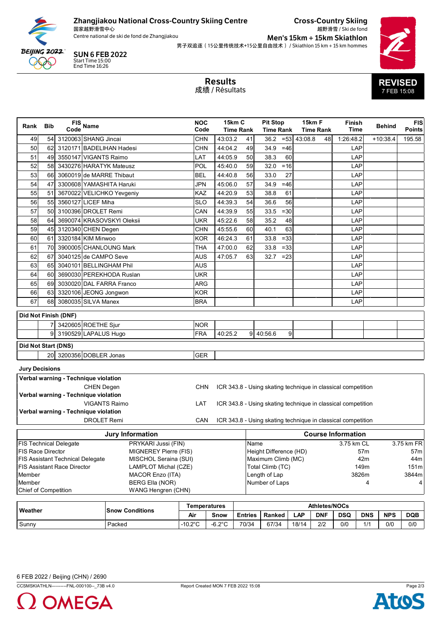

Zhangjiakou National Cross-Country Skiing Centre

国家越野滑雪中心<br>Centre national de ski de fond de Zhangjiakou

SUN 6 FEB 2022

End Time 16:26 Start Time 15:00

Cross-Country Skiing 越野滑雪 / Ski de fond

 $Men's 15km + 15km Skiathlon$ 男子双追逐(15公里传统技术+15公里自由技术) / Skiathlon 15 km + 15 km hommes



|                                                                  |     |                                      |                         |                        |                                              |                                                                     | <b>Results</b><br>成绩 / Résultats            |                            |         |                                     |        |            |                                                              |                                                              |            | <b>REVISED</b><br>7 FEB 15:08 |                      |
|------------------------------------------------------------------|-----|--------------------------------------|-------------------------|------------------------|----------------------------------------------|---------------------------------------------------------------------|---------------------------------------------|----------------------------|---------|-------------------------------------|--------|------------|--------------------------------------------------------------|--------------------------------------------------------------|------------|-------------------------------|----------------------|
| Rank                                                             | Bib |                                      | FIS<br>Code Name        |                        |                                              | <b>NOC</b><br>Code                                                  |                                             | 15km C<br><b>Time Rank</b> |         | <b>Pit Stop</b><br><b>Time Rank</b> |        | 15km F     | Time Rank                                                    | <b>Finish</b><br><b>Time</b>                                 |            | <b>Behind</b>                 | FIS<br><b>Points</b> |
| 49                                                               | 54  | 3120063 SHANG Jincai                 |                         |                        |                                              | <b>CHN</b>                                                          | 43:03.2                                     |                            | 41      | 36.2                                | $= 53$ | 43:08.8    | 48                                                           | 1:26:48.2                                                    |            | $+10:38.4$                    | 195.58               |
| 50                                                               | 62  | 3120171 BADELIHAN Hadesi             |                         |                        |                                              | <b>CHN</b>                                                          | 44:04.2                                     |                            | 49      | 34.9                                | $=46$  |            |                                                              |                                                              | LAP        |                               |                      |
| 51                                                               | 49  | 3550147 VIGANTS Raimo                |                         |                        |                                              | LAT                                                                 | 44:05.9                                     |                            | 50      | 38.3                                | 60     |            |                                                              |                                                              | LAP        |                               |                      |
| 52                                                               | 58  | 3430276 HARATYK Mateusz              |                         |                        |                                              | POL                                                                 | 45:40.0                                     |                            | 59      | 32.0                                | $= 16$ |            |                                                              |                                                              | LAP        |                               |                      |
| 53                                                               | 66  | 3060019 de MARRE Thibaut             |                         |                        |                                              | BEL                                                                 | 44:40.8                                     |                            | 56      | 33.0                                | 27     |            |                                                              |                                                              | LAP        |                               |                      |
| 54                                                               | 47  | 3300608 YAMASHITA Haruki             |                         |                        |                                              | <b>JPN</b>                                                          | 45:06.0                                     |                            | 57      | 34.9                                | $=46$  |            |                                                              |                                                              | LAP        |                               |                      |
| 55                                                               | 51  | 3670022 VELICHKO Yevgeniy            |                         |                        |                                              | KAZ                                                                 | 44:20.9                                     |                            | 53      | 38.8                                | 61     |            |                                                              |                                                              | LAP        |                               |                      |
| 56                                                               | 55  | 3560127 LICEF Miha                   |                         |                        |                                              | SLO                                                                 | 44:39.3                                     |                            | 54      | 36.6                                | 56     |            |                                                              |                                                              | LAP        |                               |                      |
| 57                                                               | 50  | 3100396 DROLET Remi                  |                         |                        |                                              | CAN                                                                 | 44:39.9                                     |                            | 55      | 33.5                                | $= 30$ |            |                                                              |                                                              | LAP        |                               |                      |
| 58                                                               | 64  | 3690074 KRASOVSKYI Oleksii           |                         |                        |                                              | UKR                                                                 | 45:22.6                                     |                            | 58      | 35.2                                | 48     |            |                                                              |                                                              | LAP        |                               |                      |
| 59                                                               | 45  | 3120340 CHEN Degen                   |                         |                        |                                              | <b>CHN</b>                                                          | 45:55.6                                     |                            | 60      | 40.1                                | 63     |            |                                                              |                                                              | LAP        |                               |                      |
| 60                                                               | 61  | 3320184 KIM Minwoo                   |                         |                        |                                              | <b>KOR</b>                                                          | 46:24.3                                     |                            | 61      | 33.8                                | $=33$  |            |                                                              |                                                              | LAP        |                               |                      |
| 61                                                               | 70  | 3900005 CHANLOUNG Mark               |                         |                        |                                              | THA                                                                 | 47:00.0                                     |                            | 62      | 33.8                                | $= 33$ |            |                                                              |                                                              | LAP        |                               |                      |
| 62                                                               | 67  | 3040125 de CAMPO Seve                |                         |                        |                                              | <b>AUS</b>                                                          | 47:05.7                                     |                            | 63      | 32.7                                | $=23$  |            |                                                              |                                                              | LAP        |                               |                      |
| 63                                                               | 65  |                                      | 3040101 BELLINGHAM Phil |                        |                                              | <b>AUS</b>                                                          |                                             |                            |         |                                     |        |            |                                                              |                                                              | LAP        |                               |                      |
| 64                                                               | 60  | 3690030 PEREKHODA Ruslan             |                         |                        |                                              | UKR                                                                 |                                             |                            |         |                                     |        |            |                                                              |                                                              | LAP        |                               |                      |
| 65                                                               | 69  | 3030020 DAL FARRA Franco             |                         |                        |                                              | ARG                                                                 |                                             |                            |         |                                     |        |            |                                                              |                                                              | LAP        |                               |                      |
| 66                                                               | 63  | 3320106 JEONG Jongwon                |                         |                        |                                              | <b>KOR</b>                                                          |                                             |                            |         |                                     |        |            |                                                              |                                                              | LAP        |                               |                      |
| 67                                                               | 68  | 3080035 SILVA Manex                  |                         |                        |                                              | <b>BRA</b>                                                          |                                             |                            |         |                                     |        |            |                                                              |                                                              | LAP        |                               |                      |
|                                                                  |     | Did Not Finish (DNF)                 |                         |                        |                                              |                                                                     |                                             |                            |         |                                     |        |            |                                                              |                                                              |            |                               |                      |
|                                                                  |     | 3420605 ROETHE Sjur                  |                         |                        |                                              | <b>NOR</b>                                                          |                                             |                            |         |                                     |        |            |                                                              |                                                              |            |                               |                      |
|                                                                  | 9   | 3190529 LAPALUS Hugo                 |                         |                        |                                              | <b>FRA</b>                                                          | 40:25.2                                     |                            |         | 9 40:56.6                           | 9      |            |                                                              |                                                              |            |                               |                      |
|                                                                  |     |                                      |                         |                        |                                              |                                                                     |                                             |                            |         |                                     |        |            |                                                              |                                                              |            |                               |                      |
| Did Not Start (DNS)                                              |     |                                      |                         |                        |                                              |                                                                     |                                             |                            |         |                                     |        |            |                                                              |                                                              |            |                               |                      |
|                                                                  |     | 20 3200356 DOBLER Jonas              |                         |                        |                                              | GER                                                                 |                                             |                            |         |                                     |        |            |                                                              |                                                              |            |                               |                      |
| <b>Jury Decisions</b>                                            |     |                                      |                         |                        |                                              |                                                                     |                                             |                            |         |                                     |        |            |                                                              |                                                              |            |                               |                      |
|                                                                  |     | Verbal warning - Technique violation |                         |                        |                                              |                                                                     |                                             |                            |         |                                     |        |            |                                                              |                                                              |            |                               |                      |
| <b>CHEN Degen</b>                                                |     |                                      |                         |                        | <b>CHN</b>                                   |                                                                     |                                             |                            |         |                                     |        |            | ICR 343.8 - Using skating technique in classical competition |                                                              |            |                               |                      |
| Verbal warning - Technique violation                             |     |                                      |                         |                        |                                              |                                                                     |                                             |                            |         |                                     |        |            |                                                              |                                                              |            |                               |                      |
| <b>VIGANTS Raimo</b>                                             |     |                                      |                         |                        |                                              | LAT<br>ICR 343.8 - Using skating technique in classical competition |                                             |                            |         |                                     |        |            |                                                              |                                                              |            |                               |                      |
| Verbal warning - Technique violation                             |     |                                      |                         |                        |                                              |                                                                     |                                             |                            |         |                                     |        |            |                                                              |                                                              |            |                               |                      |
|                                                                  |     |                                      | <b>DROLET Remi</b>      |                        |                                              | CAN                                                                 |                                             |                            |         |                                     |        |            |                                                              | ICR 343.8 - Using skating technique in classical competition |            |                               |                      |
|                                                                  |     |                                      |                         |                        | <b>Jury Information</b>                      |                                                                     |                                             |                            |         |                                     |        |            |                                                              | <b>Course Information</b>                                    |            |                               |                      |
| <b>FIS Technical Delegate</b><br>PRYKARI Jussi (FIN)<br>Name     |     |                                      |                         |                        |                                              |                                                                     |                                             |                            |         | 3.75 km CL                          |        |            | 3.75 km FR                                                   |                                                              |            |                               |                      |
| <b>FIS Race Director</b><br>MIGNEREY Pierre (FIS)                |     |                                      |                         |                        |                                              | Height Difference (HD)                                              |                                             |                            |         |                                     |        |            | 57 <sub>m</sub>                                              |                                                              |            | 57m                           |                      |
| <b>FIS Assistant Technical Delegate</b><br>MISCHOL Seraina (SUI) |     |                                      |                         |                        |                                              | Maximum Climb (MC)                                                  |                                             |                            |         |                                     |        | 42m<br>44m |                                                              |                                                              |            |                               |                      |
| <b>FIS Assistant Race Director</b><br>LAMPLOT Michal (CZE)       |     |                                      |                         |                        |                                              | Total Climb (TC)                                                    |                                             |                            |         |                                     |        |            | 149m                                                         | 151 <sub>m</sub>                                             |            |                               |                      |
| Member<br>MACOR Enzo (ITA)<br>Member                             |     |                                      |                         |                        |                                              |                                                                     | Length of Lap<br>Number of Laps             |                            |         |                                     |        |            |                                                              | 3826m                                                        | 3844m<br>4 |                               |                      |
| <b>Chief of Competition</b>                                      |     |                                      |                         |                        | <b>BERG Ella (NOR)</b><br>WANG Hengren (CHN) |                                                                     |                                             |                            |         |                                     |        |            |                                                              |                                                              |            |                               | 4                    |
|                                                                  |     |                                      |                         |                        |                                              |                                                                     |                                             |                            |         |                                     |        |            |                                                              |                                                              |            |                               |                      |
| Weather                                                          |     |                                      |                         |                        |                                              |                                                                     | <b>Athletes/NOCs</b><br><b>Temperatures</b> |                            |         |                                     |        |            |                                                              |                                                              |            |                               |                      |
|                                                                  |     |                                      |                         | <b>Snow Conditions</b> |                                              | Air                                                                 | Snow                                        |                            | Entries | Ranked                              |        | <b>LAP</b> | <b>DNF</b>                                                   | <b>DSQ</b>                                                   | <b>DNS</b> | <b>NPS</b>                    | <b>DQB</b>           |
| Sunny                                                            |     |                                      | Packed                  |                        | $-10.2^{\circ}$ C                            | $-6.2^{\circ}$ C                                                    |                                             | 70/34                      | 67/34   |                                     | 18/14  | 2/2        | 0/0                                                          | 1/1                                                          | 0/0        | 0/0                           |                      |